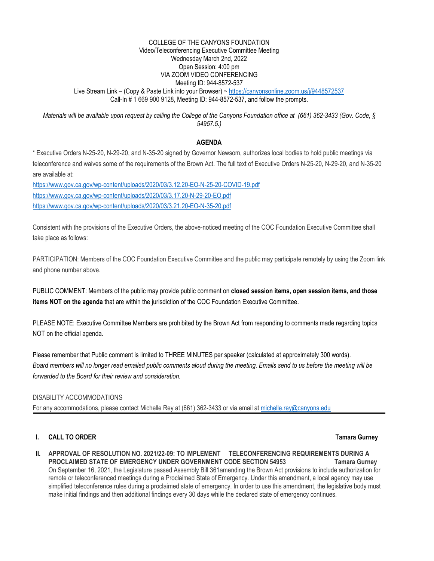#### Live Stream Link – (Copy & Paste Link into your Browser) ~<https://canyonsonline.zoom.us/j/9448572537> COLLEGE OF THE CANYONS FOUNDATION Video/Teleconferencing Executive Committee Meeting Wednesday March 2nd, 2022 Open Session: 4:00 pm VIA ZOOM VIDEO CONFERENCING Meeting ID: 944-8572-537 Call-In # 1 669 900 9128, Meeting ID: 944-8572-537, and follow the prompts.

 *Materials will be available upon request by calling the College of the Canyons Foundation office at (661) 362-3433 (Gov. Code, § 54957.5.)* 

# **AGENDA**

\* Executive Orders N-25-20, N-29-20, and N-35-20 signed by Governor Newsom, authorizes local bodies to hold public meetings via teleconference and waives some of the requirements of the Brown Act. The full text of Executive Orders N-25-20, N-29-20, and N-35-20 are available at:

<https://www.gov.ca.gov/wp-content/uploads/2020/03/3.12.20-EO-N-25-20-COVID-19.pdf> <https://www.gov.ca.gov/wp-content/uploads/2020/03/3.17.20-N-29-20-EO.pdf> <https://www.gov.ca.gov/wp-content/uploads/2020/03/3.21.20-EO-N-35-20.pdf>

Consistent with the provisions of the Executive Orders, the above-noticed meeting of the COC Foundation Executive Committee shall take place as follows:

PARTICIPATION: Members of the COC Foundation Executive Committee and the public may participate remotely by using the Zoom link and phone number above.

PUBLIC COMMENT: Members of the public may provide public comment on **closed session items, open session items, and those items NOT on the agenda** that are within the jurisdiction of the COC Foundation Executive Committee.

PLEASE NOTE: Executive Committee Members are prohibited by the Brown Act from responding to comments made regarding topics NOT on the official agenda.

Please remember that Public comment is limited to THREE MINUTES per speaker (calculated at approximately 300 words). *Board members will no longer read emailed public comments aloud during the meeting. Emails send to us before the meeting will be forwarded to the Board for their review and consideration.* 

# DISABILITY ACCOMMODATIONS

For any accommodations, please contact Michelle Rey at (661) 362-3433 or via email at michelle.rey@canyons.edu

# **I.** CALL TO ORDER **Tamara Gurney All 2008 Tamara Gurney All 2009 Tamara Gurney**

PROCLAIMED STATE OF EMERGENCY UNDER GOVERNMENT CODE SECTION 54953 Tamara Gurney On September 16, 2021, the Legislature passed Assembly Bill 361amending the Brown Act provisions to include authorization for remote or teleconferenced meetings during a Proclaimed State of Emergency. Under this amendment, a local agency may use simplified teleconference rules during a proclaimed state of emergency. In order to use this amendment, the legislative body must make initial findings and then additional findings every 30 days while the declared state of emergency continues. **II. APPROVAL OF RESOLUTION NO. 2021/22-09: TO IMPLEMENT TELECONFERENCING REQUIREMENTS DURING A**